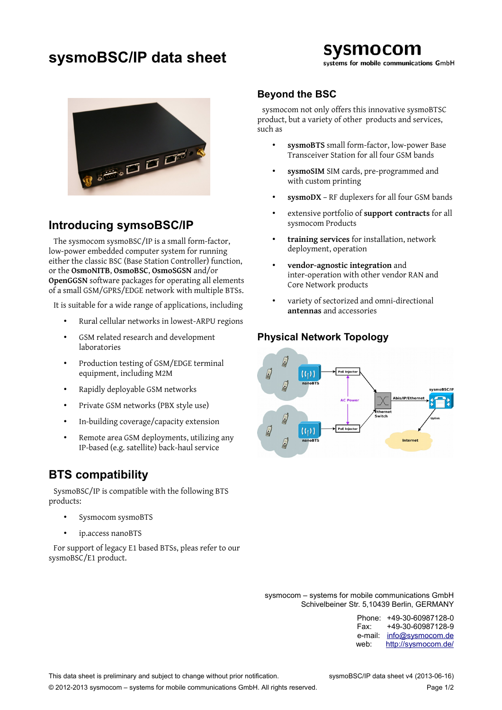# **sysmoBSC/IP data sheet**



systems for mobile communications GmbH



### **Introducing symsoBSC/IP**

The sysmocom sysmoBSC/IP is a small form-factor, low-power embedded computer system for running either the classic BSC (Base Station Controller) function, or the **OsmoNITB**, **OsmoBSC**, **OsmoSGSN** and/or **OpenGGSN** software packages for operating all elements of a small GSM/GPRS/EDGE network with multiple BTSs.

It is suitable for a wide range of applications, including

- Rural cellular networks in lowest-ARPU regions
- GSM related research and development laboratories
- Production testing of GSM/EDGE terminal equipment, including M2M
- Rapidly deployable GSM networks
- Private GSM networks (PBX style use)
- In-building coverage/capacity extension
- Remote area GSM deployments, utilizing any IP-based (e.g. satellite) back-haul service

## **BTS compatibility**

SysmoBSC/IP is compatible with the following BTS products:

- Sysmocom sysmoBTS
- ip.access nanoBTS

For support of legacy E1 based BTSs, pleas refer to our sysmoBSC/E1 product.

#### **Beyond the BSC**

sysmocom not only offers this innovative sysmoBTSC product, but a variety of other products and services, such as

- **sysmoBTS** small form-factor, low-power Base Transceiver Station for all four GSM bands
- **sysmoSIM** SIM cards, pre-programmed and with custom printing
- **sysmoDX** RF duplexers for all four GSM bands
- extensive portfolio of **support contracts** for all sysmocom Products
- **training services** for installation, network deployment, operation
- **vendor-agnostic integration** and inter-operation with other vendor RAN and Core Network products
- variety of sectorized and omni-directional **antennas** and accessories

#### **Physical Network Topology**



sysmocom – systems for mobile communications GmbH Schivelbeiner Str. 5,10439 Berlin, GERMANY

| Phone:  | +49-30-60987128-0   |
|---------|---------------------|
| Fax:    | +49-30-60987128-9   |
| e-mail: | info@sysmocom.de    |
| web:    | http://sysmocom.de/ |

© 2012-2013 sysmocom – systems for mobile communications GmbH. All rights reserved. Page 1/2